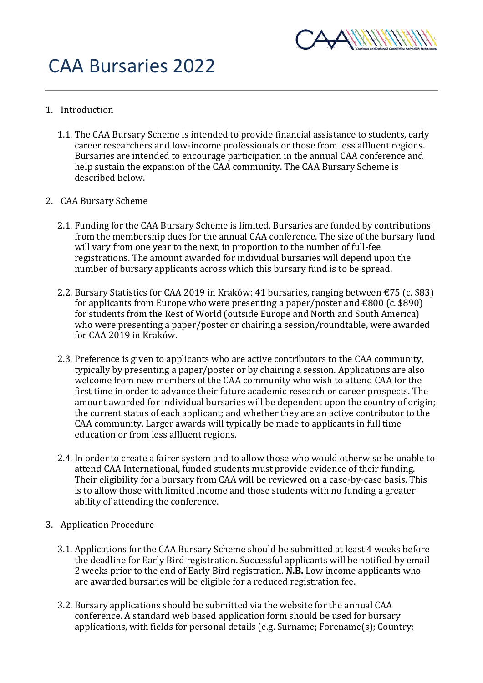

## CAA Bursaries 2022

- 1. Introduction
	- 1.1. The CAA Bursary Scheme is intended to provide financial assistance to students, early career researchers and low-income professionals or those from less affluent regions. Bursaries are intended to encourage participation in the annual CAA conference and help sustain the expansion of the CAA community. The CAA Bursary Scheme is described below.
- 2. CAA Bursary Scheme
	- 2.1. Funding for the CAA Bursary Scheme is limited. Bursaries are funded by contributions from the membership dues for the annual CAA conference. The size of the bursary fund will vary from one year to the next, in proportion to the number of full-fee registrations. The amount awarded for individual bursaries will depend upon the number of bursary applicants across which this bursary fund is to be spread.
	- 2.2. Bursary Statistics for CAA 2019 in Kraków: 41 bursaries, ranging between €75 (c. \$83) for applicants from Europe who were presenting a paper/poster and  $\epsilon$ 800 (c. \$890) for students from the Rest of World (outside Europe and North and South America) who were presenting a paper/poster or chairing a session/roundtable, were awarded for CAA 2019 in Kraków.
	- 2.3. Preference is given to applicants who are active contributors to the CAA community, typically by presenting a paper/poster or by chairing a session. Applications are also welcome from new members of the CAA community who wish to attend CAA for the first time in order to advance their future academic research or career prospects. The amount awarded for individual bursaries will be dependent upon the country of origin; the current status of each applicant; and whether they are an active contributor to the CAA community. Larger awards will typically be made to applicants in full time education or from less affluent regions.
	- 2.4. In order to create a fairer system and to allow those who would otherwise be unable to attend CAA International, funded students must provide evidence of their funding. Their eligibility for a bursary from CAA will be reviewed on a case-by-case basis. This is to allow those with limited income and those students with no funding a greater ability of attending the conference.
- 3. Application Procedure
	- 3.1. Applications for the CAA Bursary Scheme should be submitted at least 4 weeks before the deadline for Early Bird registration. Successful applicants will be notified by email 2 weeks prior to the end of Early Bird registration. **N.B.** Low income applicants who are awarded bursaries will be eligible for a reduced registration fee.
	- 3.2. Bursary applications should be submitted via the website for the annual CAA conference. A standard web based application form should be used for bursary applications, with fields for personal details (e.g. Surname; Forename(s); Country;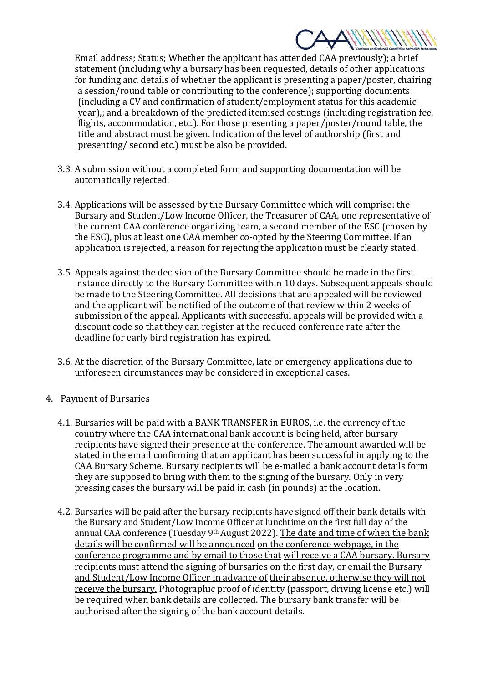

Email address; Status; Whether the applicant has attended CAA previously); a brief statement (including why a bursary has been requested, details of other applications for funding and details of whether the applicant is presenting a paper/poster, chairing a session/round table or contributing to the conference); supporting documents (including a CV and confirmation of student/employment status for this academic year),; and a breakdown of the predicted itemised costings (including registration fee, flights, accommodation, etc.). For those presenting a paper/poster/round table, the title and abstract must be given. Indication of the level of authorship (first and presenting/ second etc.) must be also be provided.

- 3.3. A submission without a completed form and supporting documentation will be automatically rejected.
- 3.4. Applications will be assessed by the Bursary Committee which will comprise: the Bursary and Student/Low Income Officer, the Treasurer of CAA, one representative of the current CAA conference organizing team, a second member of the ESC (chosen by the ESC), plus at least one CAA member co-opted by the Steering Committee. If an application is rejected, a reason for rejecting the application must be clearly stated.
- 3.5. Appeals against the decision of the Bursary Committee should be made in the first instance directly to the Bursary Committee within 10 days. Subsequent appeals should be made to the Steering Committee. All decisions that are appealed will be reviewed and the applicant will be notified of the outcome of that review within 2 weeks of submission of the appeal. Applicants with successful appeals will be provided with a discount code so that they can register at the reduced conference rate after the deadline for early bird registration has expired.
- 3.6. At the discretion of the Bursary Committee, late or emergency applications due to unforeseen circumstances may be considered in exceptional cases.
- 4. Payment of Bursaries
	- 4.1. Bursaries will be paid with a BANK TRANSFER in EUROS, i.e. the currency of the country where the CAA international bank account is being held, after bursary recipients have signed their presence at the conference. The amount awarded will be stated in the email confirming that an applicant has been successful in applying to the CAA Bursary Scheme. Bursary recipients will be e-mailed a bank account details form they are supposed to bring with them to the signing of the bursary. Only in very pressing cases the bursary will be paid in cash (in pounds) at the location.
	- 4.2. Bursaries will be paid after the bursary recipients have signed off their bank details with the Bursary and Student/Low Income Officer at lunchtime on the first full day of the annual CAA conference (Tuesday 9<sup>th</sup> August 2022). The date and time of when the bank details will be confirmed will be announced on the conference webpage, in the conference programme and by email to those that will receive a CAA bursary. Bursary recipients must attend the signing of bursaries on the first day, or email the Bursary and Student/Low Income Officer in advance of their absence, otherwise they will not receive the bursary. Photographic proof of identity (passport, driving license etc.) will be required when bank details are collected. The bursary bank transfer will be authorised after the signing of the bank account details.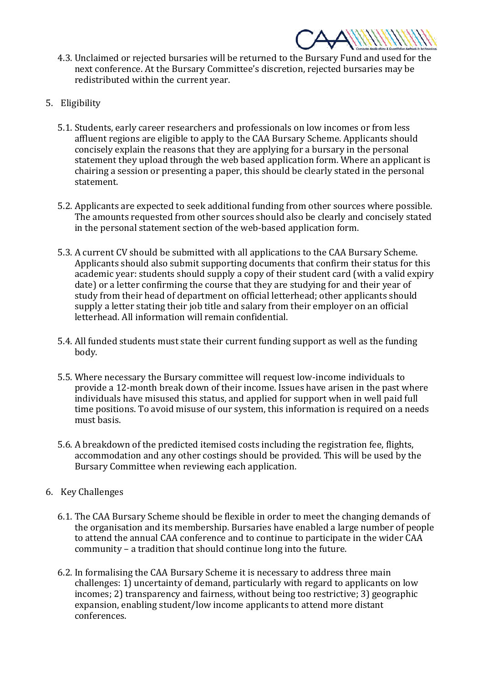

- 4.3. Unclaimed or rejected bursaries will be returned to the Bursary Fund and used for the next conference. At the Bursary Committee's discretion, rejected bursaries may be redistributed within the current year.
- 5. Eligibility
	- 5.1. Students, early career researchers and professionals on low incomes or from less affluent regions are eligible to apply to the CAA Bursary Scheme. Applicants should concisely explain the reasons that they are applying for a bursary in the personal statement they upload through the web based application form. Where an applicant is chairing a session or presenting a paper, this should be clearly stated in the personal statement.
	- 5.2. Applicants are expected to seek additional funding from other sources where possible. The amounts requested from other sources should also be clearly and concisely stated in the personal statement section of the web-based application form.
	- 5.3. A current CV should be submitted with all applications to the CAA Bursary Scheme. Applicants should also submit supporting documents that confirm their status for this academic year: students should supply a copy of their student card (with a valid expiry date) or a letter confirming the course that they are studying for and their year of study from their head of department on official letterhead; other applicants should supply a letter stating their job title and salary from their employer on an official letterhead. All information will remain confidential.
	- 5.4. All funded students must state their current funding support as well as the funding body.
	- 5.5. Where necessary the Bursary committee will request low-income individuals to provide a 12-month break down of their income. Issues have arisen in the past where individuals have misused this status, and applied for support when in well paid full time positions. To avoid misuse of our system, this information is required on a needs must basis.
	- 5.6. A breakdown of the predicted itemised costs including the registration fee, flights, accommodation and any other costings should be provided. This will be used by the Bursary Committee when reviewing each application.
- 6. Key Challenges
	- 6.1. The CAA Bursary Scheme should be flexible in order to meet the changing demands of the organisation and its membership. Bursaries have enabled a large number of people to attend the annual CAA conference and to continue to participate in the wider CAA community – a tradition that should continue long into the future.
	- 6.2. In formalising the CAA Bursary Scheme it is necessary to address three main challenges: 1) uncertainty of demand, particularly with regard to applicants on low incomes; 2) transparency and fairness, without being too restrictive; 3) geographic expansion, enabling student/low income applicants to attend more distant conferences.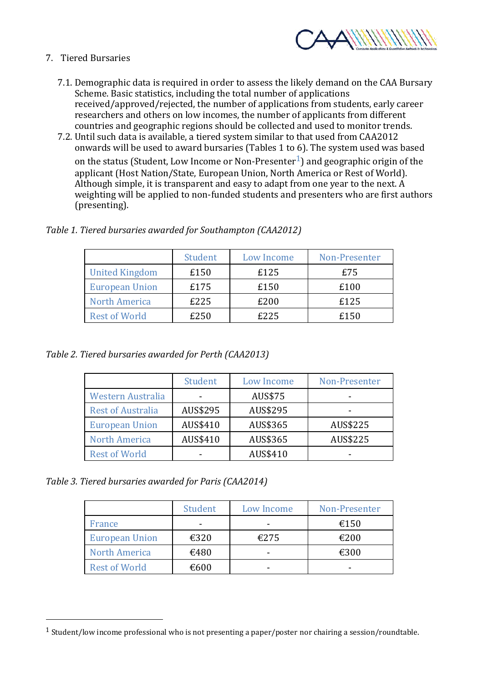

- 7. Tiered Bursaries
	- 7.1. Demographic data is required in order to assess the likely demand on the CAA Bursary Scheme. Basic statistics, including the total number of applications received/approved/rejected, the number of applications from students, early career researchers and others on low incomes, the number of applicants from different countries and geographic regions should be collected and used to monitor trends.
	- 7.2. Until such data is available, a tiered system similar to that used from CAA2012 onwards will be used to award bursaries (Tables 1 to 6). The system used was based

on the status (Student, Low Income or Non-Presenter<sup>1</sup>) and geographic origin of the applicant (Host Nation/State, European Union, North America or Rest of World). Although simple, it is transparent and easy to adapt from one year to the next. A weighting will be applied to non-funded students and presenters who are first authors (presenting).

|                       | Student | Low Income | Non-Presenter |
|-----------------------|---------|------------|---------------|
| <b>United Kingdom</b> | £150    | £125       | £75           |
| <b>European Union</b> | £175    | £150       | £100          |
| <b>North America</b>  | £225    | £200       | £125          |
| <b>Rest of World</b>  | £250    | £225       | £150          |

*Table 1. Tiered bursaries awarded for Southampton (CAA2012)* 

*Table 2. Tiered bursaries awarded for Perth (CAA2013)* 

|                          | Student  | Low Income | Non-Presenter |
|--------------------------|----------|------------|---------------|
| <b>Western Australia</b> | -        | AUS\$75    |               |
| <b>Rest of Australia</b> | AUS\$295 | AUS\$295   |               |
| <b>European Union</b>    | AUS\$410 | AUS\$365   | AUS\$225      |
| <b>North America</b>     | AUS\$410 | AUS\$365   | AUS\$225      |
| <b>Rest of World</b>     |          | AUS\$410   |               |

*Table 3. Tiered bursaries awarded for Paris (CAA2014)* 

|                       | Student | Low Income | Non-Presenter |
|-----------------------|---------|------------|---------------|
| France                |         |            | €150          |
| <b>European Union</b> | €320    | €275       | €200          |
| <b>North America</b>  | €480    |            | €300          |
| <b>Rest of World</b>  | €600    |            |               |

<sup>1</sup> Student/low income professional who is not presenting a paper/poster nor chairing a session/roundtable.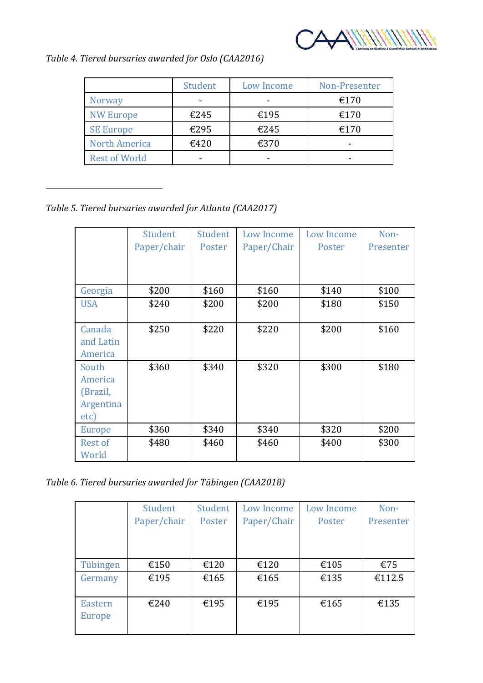

*Table 4. Tiered bursaries awarded for Oslo (CAA2016)* 

|                      | Student | Low Income | Non-Presenter |
|----------------------|---------|------------|---------------|
| <b>Norway</b>        |         |            | €170          |
| <b>NW Europe</b>     | €245    | €195       | €170          |
| <b>SE Europe</b>     | €295    | €245       | €170          |
| <b>North America</b> | €420    | €370       |               |
| <b>Rest of World</b> |         |            |               |

*Table 5. Tiered bursaries awarded for Atlanta (CAA2017)* 

|            | Student     | Student | Low Income  | Low Income | Non-      |
|------------|-------------|---------|-------------|------------|-----------|
|            | Paper/chair | Poster  | Paper/Chair | Poster     | Presenter |
|            |             |         |             |            |           |
|            |             |         |             |            |           |
| Georgia    | \$200       | \$160   | \$160       | \$140      | \$100     |
| <b>USA</b> | \$240       | \$200   | \$200       | \$180      | \$150     |
|            |             |         |             |            |           |
| Canada     | \$250       | \$220   | \$220       | \$200      | \$160     |
| and Latin  |             |         |             |            |           |
| America    |             |         |             |            |           |
| South      | \$360       | \$340   | \$320       | \$300      | \$180     |
| America    |             |         |             |            |           |
| (Brazil,   |             |         |             |            |           |
| Argentina  |             |         |             |            |           |
| etc)       |             |         |             |            |           |
| Europe     | \$360       | \$340   | \$340       | \$320      | \$200     |
| Rest of    | \$480       | \$460   | \$460       | \$400      | \$300     |
| World      |             |         |             |            |           |

*Table 6. Tiered bursaries awarded for Tübingen (CAA2018)* 

|                          | Student     | Student | Low Income  | Low Income | Non-      |
|--------------------------|-------------|---------|-------------|------------|-----------|
|                          | Paper/chair | Poster  | Paper/Chair | Poster     | Presenter |
|                          |             |         |             |            |           |
|                          |             |         |             |            |           |
| Tübingen                 | €150        | €120    | €120        | €105       | €75       |
| Germany                  | €195        | €165    | €165        | €135       | €112.5    |
| <b>Eastern</b><br>Europe | €240        | €195    | €195        | €165       | €135      |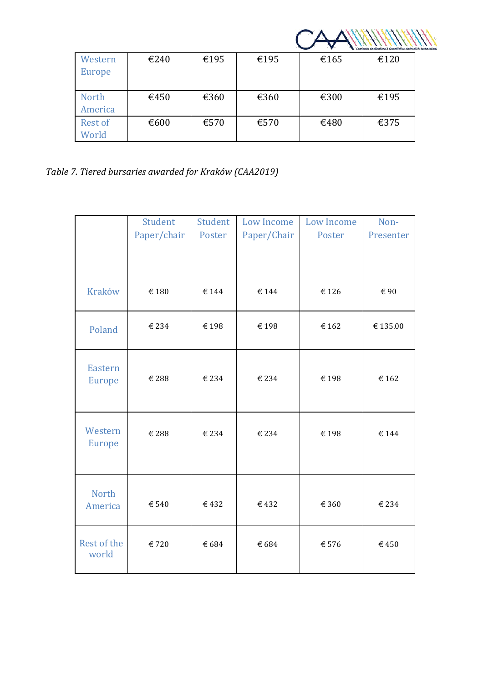| Western        | €240 | €195 | €195 | €165 | €120 |  |
|----------------|------|------|------|------|------|--|
| Europe         |      |      |      |      |      |  |
| <b>North</b>   | €450 | €360 | €360 | €300 | €195 |  |
| America        |      |      |      |      |      |  |
| <b>Rest of</b> | €600 | €570 | €570 | €480 | €375 |  |
| World          |      |      |      |      |      |  |

*Table 7. Tiered bursaries awarded for Kraków (CAA2019)* 

|                                 | Student     | Student | <b>Low Income</b> | <b>Low Income</b> | Non-      |
|---------------------------------|-------------|---------|-------------------|-------------------|-----------|
|                                 | Paper/chair | Poster  | Paper/Chair       | Poster            | Presenter |
|                                 |             |         |                   |                   |           |
| <b>Kraków</b>                   | € 180       | €144    | €144              | €126              | €90       |
| Poland                          | €234        | €198    | €198              | €162              | €135.00   |
| <b>Eastern</b><br><b>Europe</b> | € 288       | €234    | €234              | €198              | €162      |
| Western<br><b>Europe</b>        | € 288       | €234    | € 234             | €198              | € 144     |
| <b>North</b><br>America         | € 540       | €432    | €432              | € 360             | € 234     |
| Rest of the<br>world            | €720        | € 684   | € 684             | € 576             | €450      |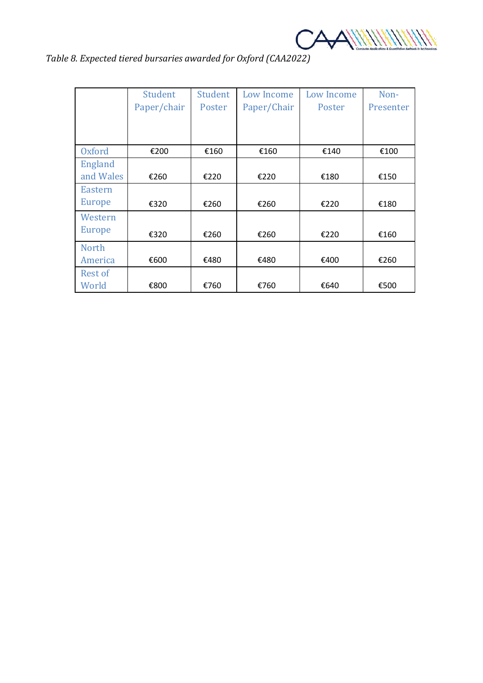

|  | Table 8. Expected tiered bursaries awarded for Oxford (CAA2022) |  |  |  |
|--|-----------------------------------------------------------------|--|--|--|
|--|-----------------------------------------------------------------|--|--|--|

|                | Student     | Student | Low Income  | Low Income | Non-      |
|----------------|-------------|---------|-------------|------------|-----------|
|                | Paper/chair | Poster  | Paper/Chair | Poster     | Presenter |
|                |             |         |             |            |           |
|                |             |         |             |            |           |
| <b>Oxford</b>  | €200        | €160    | €160        | €140       | €100      |
| <b>England</b> |             |         |             |            |           |
| and Wales      | €260        | €220    | €220        | €180       | €150      |
| <b>Eastern</b> |             |         |             |            |           |
| <b>Europe</b>  | €320        | €260    | €260        | €220       | €180      |
| Western        |             |         |             |            |           |
| <b>Europe</b>  | €320        | €260    | €260        | €220       | €160      |
| <b>North</b>   |             |         |             |            |           |
| America        | €600        | €480    | €480        | €400       | €260      |
| <b>Rest of</b> |             |         |             |            |           |
| World          | €800        | €760    | €760        | €640       | €500      |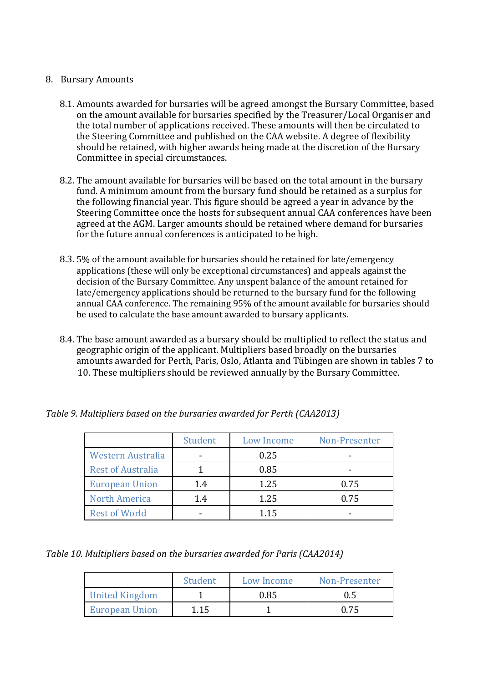## 8. Bursary Amounts

- 8.1. Amounts awarded for bursaries will be agreed amongst the Bursary Committee, based on the amount available for bursaries specified by the Treasurer/Local Organiser and the total number of applications received. These amounts will then be circulated to the Steering Committee and published on the CAA website. A degree of flexibility should be retained, with higher awards being made at the discretion of the Bursary Committee in special circumstances.
- 8.2. The amount available for bursaries will be based on the total amount in the bursary fund. A minimum amount from the bursary fund should be retained as a surplus for the following financial year. This figure should be agreed a year in advance by the Steering Committee once the hosts for subsequent annual CAA conferences have been agreed at the AGM. Larger amounts should be retained where demand for bursaries for the future annual conferences is anticipated to be high.
- 8.3. 5% of the amount available for bursaries should be retained for late/emergency applications (these will only be exceptional circumstances) and appeals against the decision of the Bursary Committee. Any unspent balance of the amount retained for late/emergency applications should be returned to the bursary fund for the following annual CAA conference. The remaining 95% of the amount available for bursaries should be used to calculate the base amount awarded to bursary applicants.
- 8.4. The base amount awarded as a bursary should be multiplied to reflect the status and geographic origin of the applicant. Multipliers based broadly on the bursaries amounts awarded for Perth, Paris, Oslo, Atlanta and Tübingen are shown in tables 7 to 10. These multipliers should be reviewed annually by the Bursary Committee.

|                          | Student | Low Income | Non-Presenter |
|--------------------------|---------|------------|---------------|
| <b>Western Australia</b> |         | 0.25       |               |
| <b>Rest of Australia</b> |         | 0.85       |               |
| <b>European Union</b>    | 1.4     | 1.25       | 0.75          |
| <b>North America</b>     | 1.4     | 1.25       | 0.75          |
| <b>Rest of World</b>     |         | 1 1 5      |               |

*Table 9. Multipliers based on the bursaries awarded for Perth (CAA2013)* 

*Table 10. Multipliers based on the bursaries awarded for Paris (CAA2014)* 

|                       | Student | Low Income | Non-Presenter |
|-----------------------|---------|------------|---------------|
| <b>United Kingdom</b> |         | 0.85       | 0.5           |
| <b>European Union</b> | 1.15    |            | በ 75          |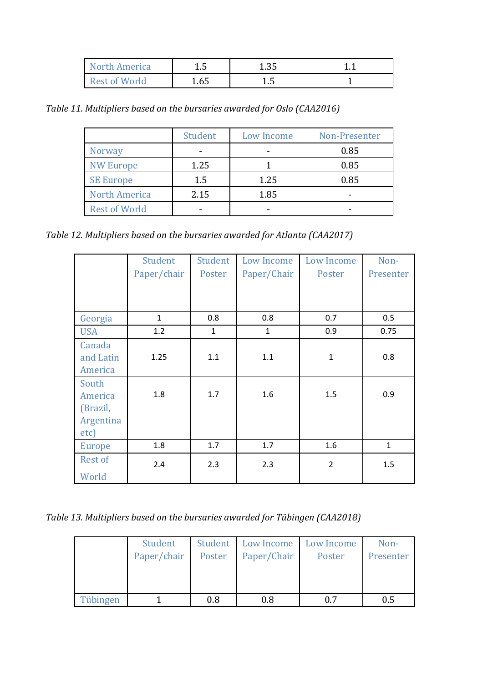| North America | 1.J  | 1.35   |  |
|---------------|------|--------|--|
| Rest of World | 1.65 | ل ، با |  |

*Table 11. Multipliers based on the bursaries awarded for Oslo (CAA2016)* 

|                      | Student | Low Income | Non-Presenter |
|----------------------|---------|------------|---------------|
| <b>Norway</b>        |         |            | 0.85          |
| <b>NW Europe</b>     | 1.25    |            | 0.85          |
| <b>SE Europe</b>     | 1.5     | 1.25       | 0.85          |
| <b>North America</b> | 2.15    | 1.85       |               |
| <b>Rest of World</b> |         |            |               |

*Table 12. Multipliers based on the bursaries awarded for Atlanta (CAA2017)* 

|                                           | Student      | Student      | Low Income   | Low Income     | Non-         |
|-------------------------------------------|--------------|--------------|--------------|----------------|--------------|
|                                           | Paper/chair  | Poster       | Paper/Chair  | Poster         | Presenter    |
|                                           |              |              |              |                |              |
| Georgia                                   | $\mathbf{1}$ | 0.8          | 0.8          | 0.7            | 0.5          |
| <b>USA</b>                                | 1.2          | $\mathbf{1}$ | $\mathbf{1}$ | 0.9            | 0.75         |
| Canada<br>and Latin<br>America            | 1.25         | 1.1          | 1.1          | $\mathbf{1}$   | 0.8          |
| South<br>America<br>(Brazil,<br>Argentina | 1.8          | 1.7          | 1.6          | 1.5            | 0.9          |
| etc)<br><b>Europe</b>                     | 1.8          | 1.7          | 1.7          | 1.6            | $\mathbf{1}$ |
| Rest of                                   | 2.4          | 2.3          | 2.3          | $\overline{2}$ | 1.5          |
| World                                     |              |              |              |                |              |

*Table 13. Multipliers based on the bursaries awarded for Tübingen (CAA2018)* 

|          | Student     | Student | Low Income  | Low Income | Non-      |
|----------|-------------|---------|-------------|------------|-----------|
|          | Paper/chair | Poster  | Paper/Chair | Poster     | Presenter |
|          |             |         |             |            |           |
|          |             |         |             |            |           |
|          |             |         |             |            |           |
| Tübingen |             | 0.8     | 0.8         | 0.7        | 0.5       |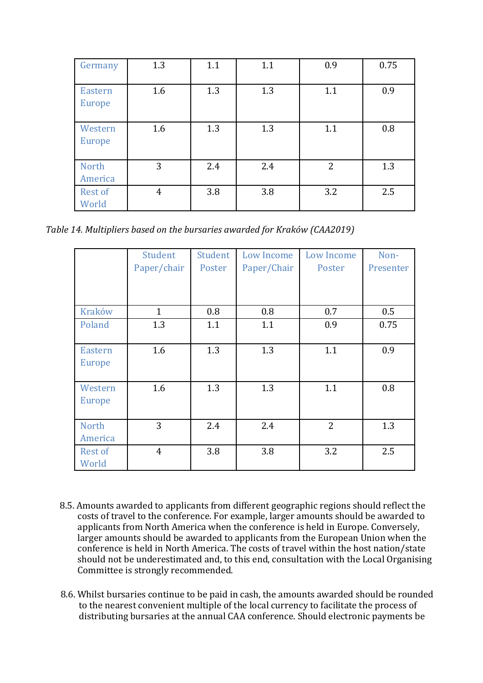| Germany                  | 1.3            | 1.1 | 1.1 | 0.9            | 0.75 |
|--------------------------|----------------|-----|-----|----------------|------|
|                          |                |     |     |                |      |
| <b>Eastern</b>           | 1.6            | 1.3 | 1.3 | 1.1            | 0.9  |
| Europe                   |                |     |     |                |      |
| Western<br><b>Europe</b> | 1.6            | 1.3 | 1.3 | 1.1            | 0.8  |
| <b>North</b><br>America  | 3              | 2.4 | 2.4 | $\overline{2}$ | 1.3  |
| Rest of<br>World         | $\overline{4}$ | 3.8 | 3.8 | 3.2            | 2.5  |

*Table 14. Multipliers based on the bursaries awarded for Kraków (CAA2019)* 

|                                 | Student<br>Paper/chair | Student<br>Poster | Low Income<br>Paper/Chair | Low Income<br>Poster | Non-<br>Presenter |
|---------------------------------|------------------------|-------------------|---------------------------|----------------------|-------------------|
|                                 |                        |                   |                           |                      |                   |
| <b>Kraków</b>                   | $\mathbf{1}$           | 0.8               | 0.8                       | 0.7                  | 0.5               |
| Poland                          | 1.3                    | 1.1               | 1.1                       | 0.9                  | 0.75              |
| <b>Eastern</b><br><b>Europe</b> | 1.6                    | 1.3               | 1.3                       | 1.1                  | 0.9               |
| Western<br><b>Europe</b>        | 1.6                    | 1.3               | 1.3                       | 1.1                  | 0.8               |
| <b>North</b><br>America         | 3                      | 2.4               | 2.4                       | $\overline{2}$       | 1.3               |
| Rest of<br>World                | $\overline{4}$         | 3.8               | 3.8                       | 3.2                  | 2.5               |

- 8.5. Amounts awarded to applicants from different geographic regions should reflect the costs of travel to the conference. For example, larger amounts should be awarded to applicants from North America when the conference is held in Europe. Conversely, larger amounts should be awarded to applicants from the European Union when the conference is held in North America. The costs of travel within the host nation/state should not be underestimated and, to this end, consultation with the Local Organising Committee is strongly recommended.
- 8.6. Whilst bursaries continue to be paid in cash, the amounts awarded should be rounded to the nearest convenient multiple of the local currency to facilitate the process of distributing bursaries at the annual CAA conference. Should electronic payments be